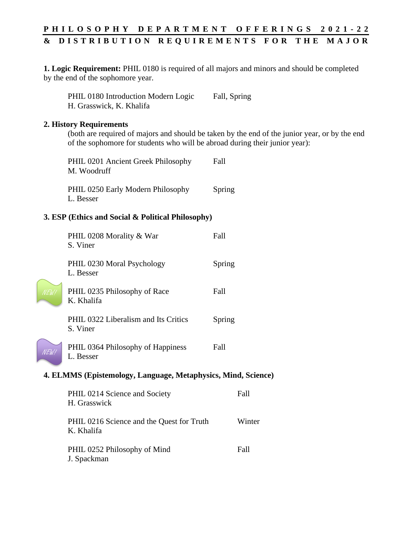## **P H I L O S O P H Y D E P A R T M E N T O F F E R I N G S 2 0 2 1 - 2 2 & D I S T R I B U T I O N R E Q U I R E M E N T S F O R T H E M A J O R**

**1. Logic Requirement:** PHIL 0180 is required of all majors and minors and should be completed by the end of the sophomore year.

PHIL 0180 Introduction Modern Logic Fall, Spring H. Grasswick, K. Khalifa

## **2. History Requirements**

(both are required of majors and should be taken by the end of the junior year, or by the end of the sophomore for students who will be abroad during their junior year):

| PHIL 0201 Ancient Greek Philosophy | Fall   |
|------------------------------------|--------|
| M. Woodruff                        |        |
| PHIL 0250 Early Modern Philosophy  | Spring |
| L. Besser                          |        |

## **3. ESP (Ethics and Social & Political Philosophy)**

|                                                               | PHIL 0208 Morality & War<br>S. Viner             | Fall        |  |  |
|---------------------------------------------------------------|--------------------------------------------------|-------------|--|--|
|                                                               | PHIL 0230 Moral Psychology<br>L. Besser          | Spring      |  |  |
| NEW!                                                          | PHIL 0235 Philosophy of Race<br>K. Khalifa       | <b>Fall</b> |  |  |
|                                                               | PHIL 0322 Liberalism and Its Critics<br>S. Viner | Spring      |  |  |
| N EW !                                                        | PHIL 0364 Philosophy of Happiness<br>L. Besser   | Fall        |  |  |
| 4. ELMMS (Epistemology, Language, Metaphysics, Mind, Science) |                                                  |             |  |  |

| PHIL 0214 Science and Society<br>H. Grasswick           | Fall   |
|---------------------------------------------------------|--------|
| PHIL 0216 Science and the Quest for Truth<br>K. Khalifa | Winter |
| PHIL 0252 Philosophy of Mind<br>J. Spackman             | Fall   |